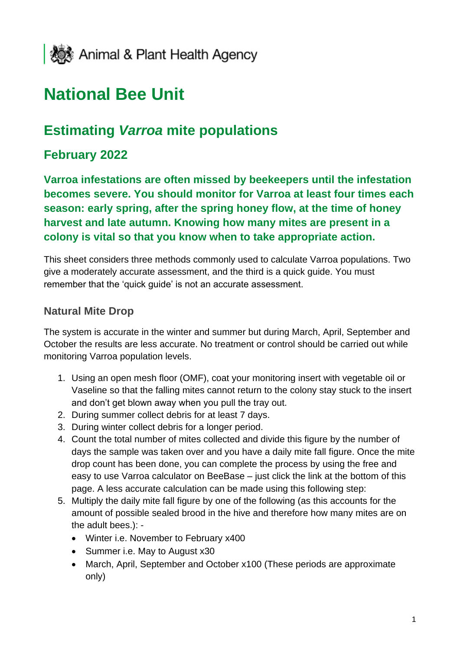

# **National Bee Unit**

# **Estimating** *Varroa* **mite populations**

# **February 2022**

**Varroa infestations are often missed by beekeepers until the infestation becomes severe. You should monitor for Varroa at least four times each season: early spring, after the spring honey flow, at the time of honey harvest and late autumn. Knowing how many mites are present in a colony is vital so that you know when to take appropriate action.** 

This sheet considers three methods commonly used to calculate Varroa populations. Two give a moderately accurate assessment, and the third is a quick guide. You must remember that the 'quick guide' is not an accurate assessment.

#### **Natural Mite Drop**

The system is accurate in the winter and summer but during March, April, September and October the results are less accurate. No treatment or control should be carried out while monitoring Varroa population levels.

- 1. Using an open mesh floor (OMF), coat your monitoring insert with vegetable oil or Vaseline so that the falling mites cannot return to the colony stay stuck to the insert and don't get blown away when you pull the tray out.
- 2. During summer collect debris for at least 7 days.
- 3. During winter collect debris for a longer period.
- 4. Count the total number of mites collected and divide this figure by the number of days the sample was taken over and you have a daily mite fall figure. Once the mite drop count has been done, you can complete the process by using the free and easy to use Varroa calculator on BeeBase – just click the link at the bottom of this page. A less accurate calculation can be made using this following step:
- 5. Multiply the daily mite fall figure by one of the following (as this accounts for the amount of possible sealed brood in the hive and therefore how many mites are on the adult bees.): -
	- Winter i.e. November to February x400
	- Summer i.e. May to August x30
	- March, April, September and October x100 (These periods are approximate only)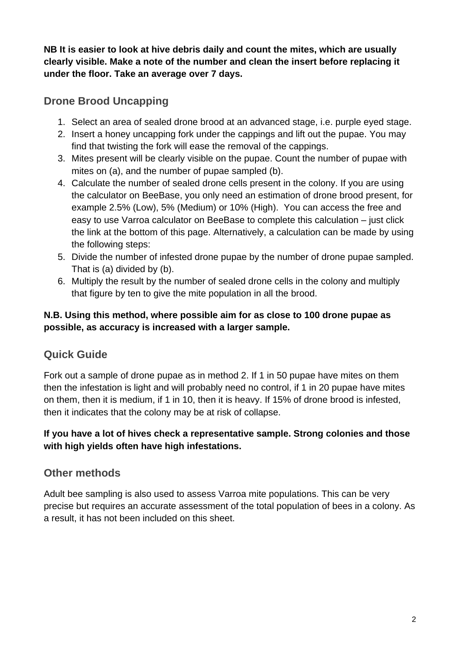**NB It is easier to look at hive debris daily and count the mites, which are usually clearly visible. Make a note of the number and clean the insert before replacing it under the floor. Take an average over 7 days.**

# **Drone Brood Uncapping**

- 1. Select an area of sealed drone brood at an advanced stage, i.e. purple eyed stage.
- 2. Insert a honey uncapping fork under the cappings and lift out the pupae. You may find that twisting the fork will ease the removal of the cappings.
- 3. Mites present will be clearly visible on the pupae. Count the number of pupae with mites on (a), and the number of pupae sampled (b).
- 4. Calculate the number of sealed drone cells present in the colony. If you are using the calculator on BeeBase, you only need an estimation of drone brood present, for example 2.5% (Low), 5% (Medium) or 10% (High). You can access the free and easy to use Varroa calculator on BeeBase to complete this calculation – just click the link at the bottom of this page. Alternatively, a calculation can be made by using the following steps:
- 5. Divide the number of infested drone pupae by the number of drone pupae sampled. That is (a) divided by (b).
- 6. Multiply the result by the number of sealed drone cells in the colony and multiply that figure by ten to give the mite population in all the brood.

#### **N.B. Using this method, where possible aim for as close to 100 drone pupae as possible, as accuracy is increased with a larger sample.**

## **Quick Guide**

Fork out a sample of drone pupae as in method 2. If 1 in 50 pupae have mites on them then the infestation is light and will probably need no control, if 1 in 20 pupae have mites on them, then it is medium, if 1 in 10, then it is heavy. If 15% of drone brood is infested, then it indicates that the colony may be at risk of collapse.

#### **If you have a lot of hives check a representative sample. Strong colonies and those with high yields often have high infestations.**

## **Other methods**

Adult bee sampling is also used to assess Varroa mite populations. This can be very precise but requires an accurate assessment of the total population of bees in a colony. As a result, it has not been included on this sheet.